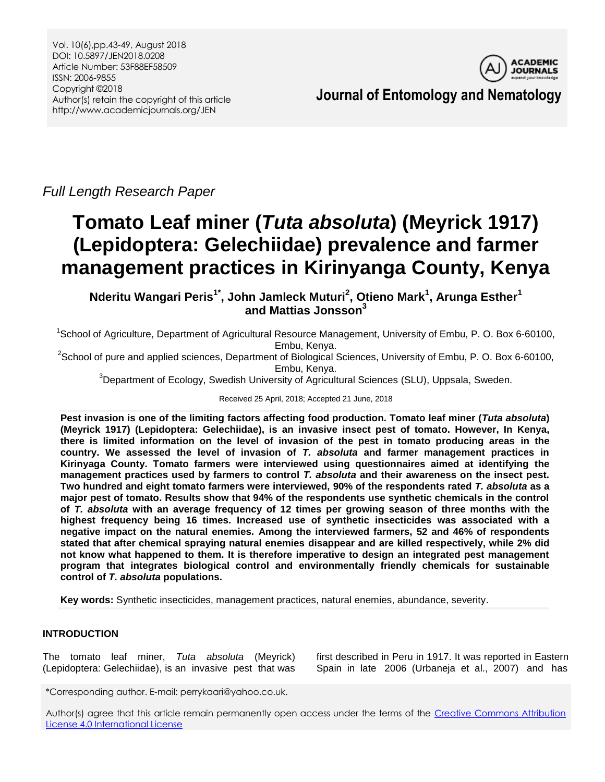

**Journal of Entomology and Nematology**

*Full Length Research Paper*

# **Tomato Leaf miner (***Tuta absoluta***) (Meyrick 1917) (Lepidoptera: Gelechiidae) prevalence and farmer management practices in Kirinyanga County, Kenya**

**Nderitu Wangari Peris1\* , John Jamleck Muturi<sup>2</sup> , Otieno Mark<sup>1</sup> , Arunga Esther<sup>1</sup> and Mattias Jonsson<sup>3</sup>**

<sup>1</sup>School of Agriculture, Department of Agricultural Resource Management, University of Embu, P. O. Box 6-60100, Embu, Kenya.

 $2$ School of pure and applied sciences, Department of Biological Sciences, University of Embu, P. O. Box 6-60100, Embu, Kenya.

 $3$ Department of Ecology, Swedish University of Agricultural Sciences (SLU), Uppsala, Sweden.

Received 25 April, 2018; Accepted 21 June, 2018

**Pest invasion is one of the limiting factors affecting food production. Tomato leaf miner (***Tuta absoluta***) (Meyrick 1917) (Lepidoptera: Gelechiidae), is an invasive insect pest of tomato. However, In Kenya, there is limited information on the level of invasion of the pest in tomato producing areas in the country. We assessed the level of invasion of** *T. absoluta* **and farmer management practices in Kirinyaga County. Tomato farmers were interviewed using questionnaires aimed at identifying the management practices used by farmers to control** *T. absoluta* **and their awareness on the insect pest. Two hundred and eight tomato farmers were interviewed, 90% of the respondents rated** *T. absoluta* **as a major pest of tomato. Results show that 94% of the respondents use synthetic chemicals in the control of** *T. absoluta* **with an average frequency of 12 times per growing season of three months with the highest frequency being 16 times. Increased use of synthetic insecticides was associated with a negative impact on the natural enemies. Among the interviewed farmers, 52 and 46% of respondents stated that after chemical spraying natural enemies disappear and are killed respectively, while 2% did not know what happened to them. It is therefore imperative to design an integrated pest management program that integrates biological control and environmentally friendly chemicals for sustainable control of** *T. absoluta* **populations.**

**Key words:** Synthetic insecticides, management practices, natural enemies, abundance, severity.

# **INTRODUCTION**

The tomato leaf miner, *Tuta absoluta* (Meyrick) (Lepidoptera: Gelechiidae), is an invasive pest that was

first described in Peru in 1917. It was reported in Eastern Spain in late 2006 (Urbaneja et al., 2007) and has

\*Corresponding author. E-mail: perrykaari@yahoo.co.uk.

Author(s) agree that this article remain permanently open access under the terms of the Creative Commons Attribution [License 4.0 International License](http://creativecommons.org/licenses/by/4.0/deed.en_US)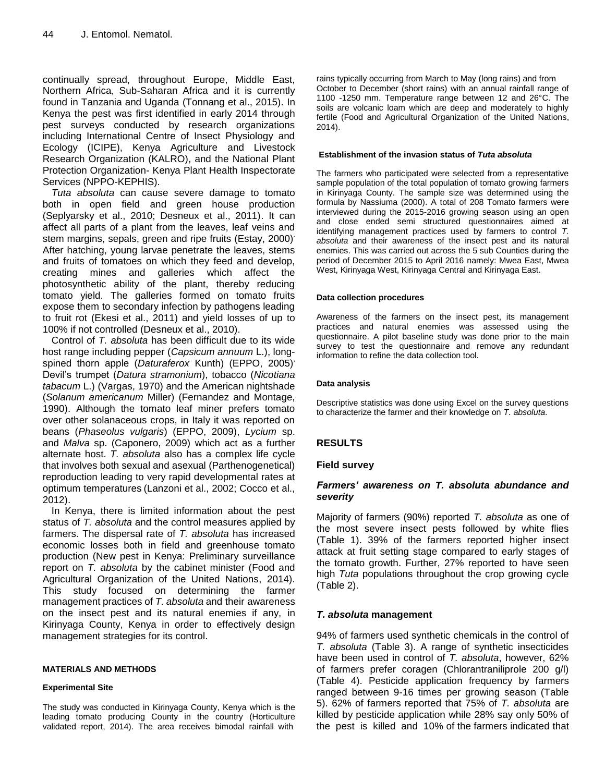continually spread, throughout Europe, Middle East, Northern Africa, Sub-Saharan Africa and it is currently found in Tanzania and Uganda (Tonnang et al., 2015). In Kenya the pest was first identified in early 2014 through pest surveys conducted by research organizations including International Centre of Insect Physiology and Ecology (ICIPE), Kenya Agriculture and Livestock Research Organization (KALRO), and the National Plant Protection Organization- Kenya Plant Health Inspectorate Services (NPPO-KEPHIS).

*Tuta absoluta* can cause severe damage to tomato both in open field and green house production (Seplyarsky et al., 2010; Desneux et al., 2011). It can affect all parts of a plant from the leaves, leaf veins and stem margins, sepals, green and ripe fruits (Estay, 2000) . After hatching, young larvae penetrate the leaves, stems and fruits of tomatoes on which they feed and develop, creating mines and galleries which affect the photosynthetic ability of the plant, thereby reducing tomato yield. The galleries formed on tomato fruits expose them to secondary infection by pathogens leading to fruit rot (Ekesi et al., 2011) and yield losses of up to 100% if not controlled (Desneux et al., 2010).

Control of *T. absoluta* has been difficult due to its wide host range including pepper (*Capsicum annuum* L.), longspined thorn apple (*Daturaferox* Kunth) (EPPO, 2005) , Devil's trumpet (*Datura stramonium*), tobacco (*Nicotiana tabacum* L.) (Vargas, 1970) and the American nightshade (*Solanum americanum* Miller) (Fernandez and Montage, 1990). Although the tomato leaf miner prefers tomato over other solanaceous crops, in Italy it was reported on beans (*Phaseolus vulgaris*) (EPPO, 2009), *Lycium* sp. and *Malva* sp. (Caponero, 2009) which act as a further alternate host. *T. absoluta* also has a complex life cycle that involves both sexual and asexual (Parthenogenetical) reproduction leading to very rapid developmental rates at optimum temperatures (Lanzoni et al., 2002; Cocco et al., 2012).

In Kenya, there is limited information about the pest status of *T. absoluta* and the control measures applied by farmers. The dispersal rate of *T. absoluta* has increased economic losses both in field and greenhouse tomato production (New pest in Kenya: Preliminary surveillance report on *T. absoluta* by the cabinet minister (Food and Agricultural Organization of the United Nations, 2014). This study focused on determining the farmer management practices of *T. absoluta* and their awareness on the insect pest and its natural enemies if any, in Kirinyaga County, Kenya in order to effectively design management strategies for its control.

#### **MATERIALS AND METHODS**

## **Experimental Site**

The study was conducted in Kirinyaga County, Kenya which is the leading tomato producing County in the country (Horticulture validated report, 2014). The area receives bimodal rainfall with

rains typically occurring from March to May (long rains) and from October to December (short rains) with an annual rainfall range of 1100 -1250 mm. Temperature range between 12 and 26°C. The soils are volcanic loam which are deep and moderately to highly fertile (Food and Agricultural Organization of the United Nations, 2014).

#### **Establishment of the invasion status of** *Tuta absoluta*

The farmers who participated were selected from a representative sample population of the total population of tomato growing farmers in Kirinyaga County. The sample size was determined using the formula by Nassiuma (2000). A total of 208 Tomato farmers were interviewed during the 2015-2016 growing season using an open and close ended semi structured questionnaires aimed at identifying management practices used by farmers to control *T. absoluta* and their awareness of the insect pest and its natural enemies. This was carried out across the 5 sub Counties during the period of December 2015 to April 2016 namely: Mwea East, Mwea West, Kirinyaga West, Kirinyaga Central and Kirinyaga East.

#### **Data collection procedures**

Awareness of the farmers on the insect pest, its management practices and natural enemies was assessed using the questionnaire. A pilot baseline study was done prior to the main survey to test the questionnaire and remove any redundant information to refine the data collection tool.

#### **Data analysis**

Descriptive statistics was done using Excel on the survey questions to characterize the farmer and their knowledge on *T. absoluta*.

## **RESULTS**

## **Field survey**

## *Farmers' awareness on T. absoluta abundance and severity*

Majority of farmers (90%) reported *T. absoluta* as one of the most severe insect pests followed by white flies (Table 1). 39% of the farmers reported higher insect attack at fruit setting stage compared to early stages of the tomato growth. Further, 27% reported to have seen high *Tuta* populations throughout the crop growing cycle (Table 2).

## *T. absoluta* **management**

94% of farmers used synthetic chemicals in the control of *T. absoluta* (Table 3). A range of synthetic insecticides have been used in control of *T. absoluta*, however, 62% of farmers prefer coragen (Chlorantraniliprole 200 g/l) (Table 4). Pesticide application frequency by farmers ranged between 9-16 times per growing season (Table 5). 62% of farmers reported that 75% of *T. absoluta* are killed by pesticide application while 28% say only 50% of the pest is killed and 10% of the farmers indicated that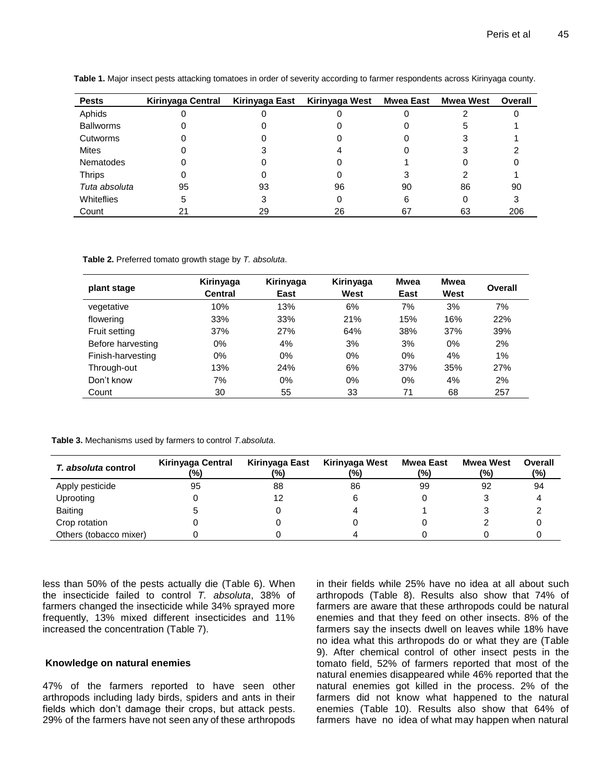| <b>Pests</b>     | Kirinyaga Central | Kirinyaga East | Kirinyaga West | Mwea East | <b>Mwea West</b> | Overall |
|------------------|-------------------|----------------|----------------|-----------|------------------|---------|
| Aphids           |                   |                |                |           |                  |         |
| Ballworms        |                   |                |                |           |                  |         |
| Cutworms         |                   |                |                |           |                  |         |
| <b>Mites</b>     |                   |                |                |           |                  |         |
| <b>Nematodes</b> |                   |                |                |           |                  |         |
| <b>Thrips</b>    |                   |                |                |           |                  |         |
| Tuta absoluta    | 95                | 93             | 96             | 90        | 86               | 90      |
| Whiteflies       | 5                 |                |                | 6         |                  |         |
| Count            |                   | 29             | 26             | 67        | 63               | 206     |

**Table 1.** Major insect pests attacking tomatoes in order of severity according to farmer respondents across Kirinyaga county.

**Table 2.** Preferred tomato growth stage by *T. absoluta*.

| plant stage       | Kirinyaga<br><b>Central</b> | Kirinyaga<br>East | Kirinyaga<br>West | Mwea<br>East | <b>Mwea</b><br>West | Overall |
|-------------------|-----------------------------|-------------------|-------------------|--------------|---------------------|---------|
| vegetative        | 10%                         | 13%               | 6%                | 7%           | 3%                  | 7%      |
| flowering         | 33%                         | 33%               | 21%               | 15%          | 16%                 | 22%     |
| Fruit setting     | 37%                         | 27%               | 64%               | 38%          | 37%                 | 39%     |
| Before harvesting | 0%                          | 4%                | 3%                | 3%           | 0%                  | 2%      |
| Finish-harvesting | 0%                          | 0%                | 0%                | $0\%$        | 4%                  | 1%      |
| Through-out       | 13%                         | 24%               | 6%                | 37%          | 35%                 | 27%     |
| Don't know        | 7%                          | $0\%$             | 0%                | $0\%$        | 4%                  | 2%      |
| Count             | 30                          | 55                | 33                | 71           | 68                  | 257     |

**Table 3.** Mechanisms used by farmers to control *T.absoluta*.

| <i>T. absoluta</i> control | Kirinyaga Central<br>(%) | Kirinyaga East<br>(%) | Kirinyaga West<br>(%) | Mwea East<br>(%) | <b>Mwea West</b><br>(%) | Overall<br>(%) |
|----------------------------|--------------------------|-----------------------|-----------------------|------------------|-------------------------|----------------|
| Apply pesticide            | 95                       | 88                    | 86                    | 99               | 92                      | 94             |
| Uprooting                  |                          |                       |                       |                  |                         |                |
| <b>Baiting</b>             |                          |                       |                       |                  |                         |                |
| Crop rotation              |                          |                       |                       |                  |                         |                |
| Others (tobacco mixer)     |                          |                       |                       |                  |                         |                |

less than 50% of the pests actually die (Table 6). When the insecticide failed to control *T. absoluta*, 38% of farmers changed the insecticide while 34% sprayed more frequently, 13% mixed different insecticides and 11% increased the concentration (Table 7).

#### **Knowledge on natural enemies**

47% of the farmers reported to have seen other arthropods including lady birds, spiders and ants in their fields which don't damage their crops, but attack pests. 29% of the farmers have not seen any of these arthropods

in their fields while 25% have no idea at all about such arthropods (Table 8). Results also show that 74% of farmers are aware that these arthropods could be natural enemies and that they feed on other insects. 8% of the farmers say the insects dwell on leaves while 18% have no idea what this arthropods do or what they are (Table 9). After chemical control of other insect pests in the tomato field, 52% of farmers reported that most of the natural enemies disappeared while 46% reported that the natural enemies got killed in the process. 2% of the farmers did not know what happened to the natural enemies (Table 10). Results also show that 64% of farmers have no idea of what may happen when natural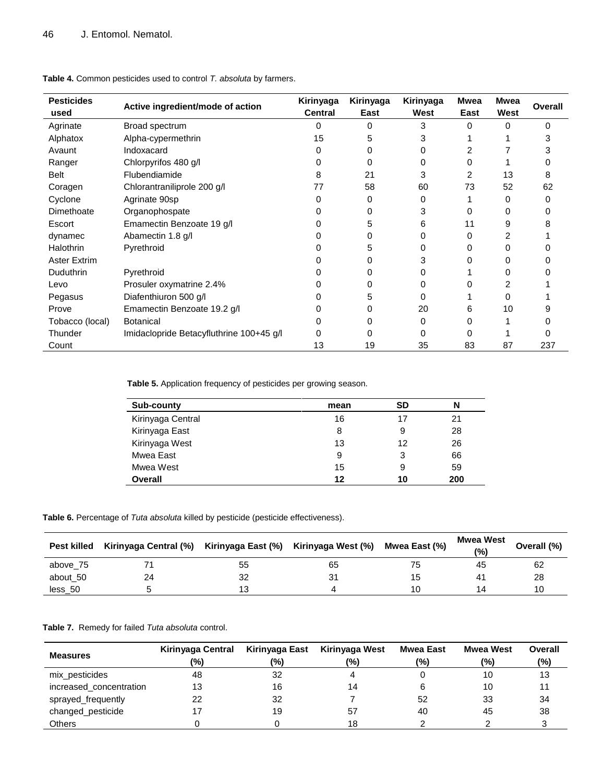| <b>Pesticides</b> | Active ingredient/mode of action         | Kirinyaga<br><b>Central</b> | Kirinyaga<br>East | Kirinyaga<br>West | Mwea<br>East | <b>Mwea</b><br>West | <b>Overall</b> |
|-------------------|------------------------------------------|-----------------------------|-------------------|-------------------|--------------|---------------------|----------------|
| used              |                                          |                             |                   |                   |              |                     |                |
| Agrinate          | Broad spectrum                           | 0                           | 0                 | 3                 | <sup>0</sup> | $\Omega$            | O              |
| Alphatox          | Alpha-cypermethrin                       | 15                          | 5                 |                   |              |                     | з              |
| Avaunt            | Indoxacard                               | 0                           | 0                 |                   |              |                     |                |
| Ranger            | Chlorpyrifos 480 g/l                     |                             | 0                 |                   |              |                     |                |
| <b>Belt</b>       | Flubendiamide                            | 8                           | 21                | 3                 | 2            | 13                  | 8              |
| Coragen           | Chlorantraniliprole 200 g/l              | 77                          | 58                | 60                | 73           | 52                  | 62             |
| Cyclone           | Agrinate 90sp                            | 0                           | 0                 | 0                 |              | O                   | U              |
| Dimethoate        | Organophospate                           |                             | 0                 | 3                 | 0            | 0                   |                |
| Escort            | Emamectin Benzoate 19 g/l                |                             | 5                 | 6                 | 11           | 9                   |                |
| dynamec           | Abamectin 1.8 g/l                        |                             |                   |                   | 0            |                     |                |
| Halothrin         | Pyrethroid                               |                             | 5                 |                   | 0            |                     |                |
| Aster Extrim      |                                          |                             |                   |                   |              |                     |                |
| Duduthrin         | Pyrethroid                               |                             |                   |                   |              |                     |                |
| Levo              | Prosuler oxymatrine 2.4%                 |                             |                   |                   |              |                     |                |
| Pegasus           | Diafenthiuron 500 g/l                    |                             |                   |                   |              | O                   |                |
| Prove             | Emamectin Benzoate 19.2 g/l              |                             |                   | 20                | 6            | 10                  |                |
| Tobacco (local)   | <b>Botanical</b>                         |                             |                   |                   |              |                     |                |
| Thunder           | Imidaclopride Betacyfluthrine 100+45 g/l |                             |                   |                   |              |                     |                |
| Count             |                                          | 13                          | 19                | 35                | 83           | 87                  | 237            |

**Table 4.** Common pesticides used to control *T. absoluta* by farmers.

**Table 5.** Application frequency of pesticides per growing season.

| Sub-county        | mean | SD | N   |
|-------------------|------|----|-----|
| Kirinyaga Central | 16   | 17 | 21  |
| Kirinyaga East    | 8    | 9  | 28  |
| Kirinyaga West    | 13   | 12 | 26  |
| Mwea East         | 9    | 3  | 66  |
| Mwea West         | 15   | 9  | 59  |
| Overall           | 12   | 10 | 200 |

**Table 6.** Percentage of *Tuta absoluta* killed by pesticide (pesticide effectiveness).

| <b>Pest killed</b> | Kirinyaga Central (%) Kirinyaga East (%) Kirinyaga West (%) |    |    | Mwea East (%) | Mwea West<br>(9) | Overall (%) |
|--------------------|-------------------------------------------------------------|----|----|---------------|------------------|-------------|
| above 75           |                                                             | 55 | 65 |               | 45               | 62          |
| about 50           | 24                                                          | 32 |    |               | 41               | 28          |
| less 50            |                                                             | 13 |    |               | 14               | 10          |

#### **Table 7.** Remedy for failed *Tuta absoluta* control.

| <b>Measures</b>         | Kirinyaga Central<br>(%) | Kirinyaga East<br>$\frac{10}{6}$ | Kirinyaga West<br>$(\% )$ | <b>Mwea East</b><br>(%) | Mwea West<br>$\frac{1}{2}$ | Overall<br>(%) |
|-------------------------|--------------------------|----------------------------------|---------------------------|-------------------------|----------------------------|----------------|
| mix_pesticides          | 48                       | 32                               |                           |                         | 10                         | 13             |
| increased concentration | 13                       | 16                               | 14                        |                         | 10                         |                |
| sprayed_frequently      | 22                       | 32                               |                           | 52                      | 33                         | 34             |
| changed_pesticide       |                          | 19                               | 57                        | 40                      | 45                         | 38             |
| Others                  |                          |                                  | 18                        |                         |                            |                |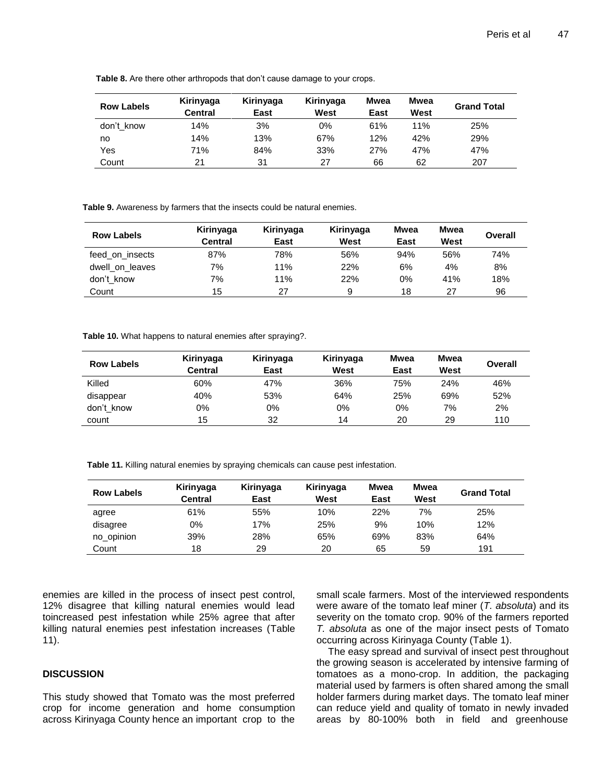| <b>Row Labels</b> | Kirinyaga<br><b>Central</b> | Kirinyaga<br>East | Kirinyaga<br>West | Mwea<br>East | Mwea<br>West | <b>Grand Total</b> |
|-------------------|-----------------------------|-------------------|-------------------|--------------|--------------|--------------------|
| don't know        | 14%                         | 3%                | 0%                | 61%          | 11%          | 25%                |
| no                | 14%                         | 13%               | 67%               | 12%          | 42%          | 29%                |
| Yes               | 71%                         | 84%               | 33%               | 27%          | 47%          | 47%                |
| Count             | 21                          | 31                | 27                | 66           | 62           | 207                |

**Table 8.** Are there other arthropods that don't cause damage to your crops.

**Table 9.** Awareness by farmers that the insects could be natural enemies.

| <b>Row Labels</b> | Kirinyaga      | Kirinyaga | Kirinyaga | Mwea | Mwea | Overall |
|-------------------|----------------|-----------|-----------|------|------|---------|
|                   | <b>Central</b> | East      | West      | East | West |         |
| feed on insects   | 87%            | 78%       | 56%       | 94%  | 56%  | 74%     |
| dwell on leaves   | 7%             | 11%       | 22%       | 6%   | 4%   | 8%      |
| don't know        | 7%             | 11%       | 22%       | 0%   | 41%  | 18%     |
| Count             | 15             | 27        | 9         | 18   | 27   | 96      |

**Table 10.** What happens to natural enemies after spraying?.

| <b>Row Labels</b> | Kirinyaga<br>Central | Kirinyaga<br>East | Kirinyaga<br>West | Mwea<br>East | Mwea<br>West | Overall |
|-------------------|----------------------|-------------------|-------------------|--------------|--------------|---------|
| Killed            | 60%                  | 47%               | 36%               | 75%          | 24%          | 46%     |
| disappear         | 40%                  | 53%               | 64%               | 25%          | 69%          | 52%     |
| don't know        | 0%                   | 0%                | 0%                | 0%           | 7%           | 2%      |
| count             | 15                   | 32                | 14                | 20           | 29           | 110     |

**Table 11.** Killing natural enemies by spraying chemicals can cause pest infestation.

| <b>Row Labels</b> | Kirinyaga<br>Central | Kirinyaga<br>East | Kirinyaga<br>West | Mwea<br>East | Mwea<br>West | <b>Grand Total</b> |
|-------------------|----------------------|-------------------|-------------------|--------------|--------------|--------------------|
| agree             | 61%                  | 55%               | 10%               | 22%          | 7%           | 25%                |
| disagree          | 0%                   | 17%               | 25%               | 9%           | 10%          | 12%                |
| no_opinion        | 39%                  | 28%               | 65%               | 69%          | 83%          | 64%                |
| Count             | 18                   | 29                | 20                | 65           | 59           | 191                |

enemies are killed in the process of insect pest control, 12% disagree that killing natural enemies would lead toincreased pest infestation while 25% agree that after killing natural enemies pest infestation increases (Table 11).

## **DISCUSSION**

This study showed that Tomato was the most preferred crop for income generation and home consumption across Kirinyaga County hence an important crop to the

small scale farmers. Most of the interviewed respondents were aware of the tomato leaf miner (*T. absoluta*) and its severity on the tomato crop. 90% of the farmers reported *T. absoluta* as one of the major insect pests of Tomato occurring across Kirinyaga County (Table 1).

The easy spread and survival of insect pest throughout the growing season is accelerated by intensive farming of tomatoes as a mono-crop. In addition, the packaging material used by farmers is often shared among the small holder farmers during market days. The tomato leaf miner can reduce yield and quality of tomato in newly invaded areas by 80-100% both in field and greenhouse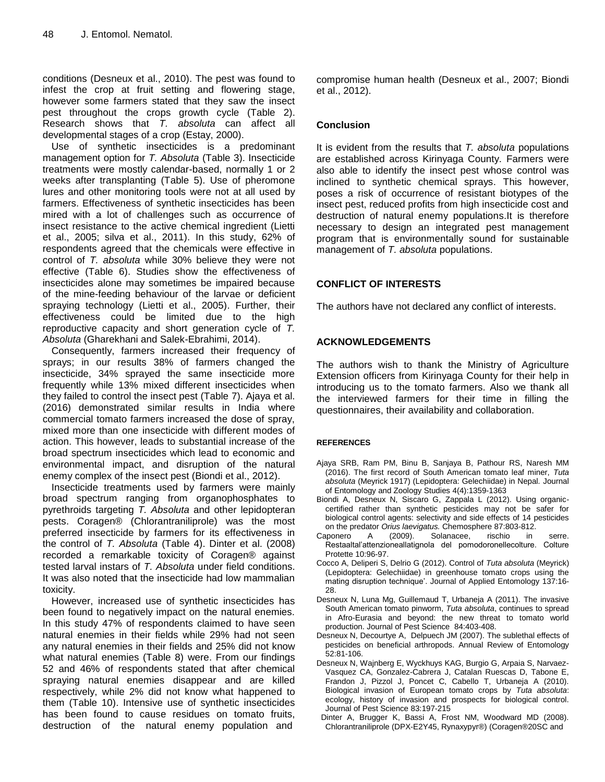conditions (Desneux et al., 2010). The pest was found to infest the crop at fruit setting and flowering stage, however some farmers stated that they saw the insect pest throughout the crops growth cycle (Table 2). Research shows that *T. absoluta* can affect all developmental stages of a crop (Estay, 2000).

Use of synthetic insecticides is a predominant management option for *T. Absoluta* (Table 3). Insecticide treatments were mostly calendar-based, normally 1 or 2 weeks after transplanting (Table 5). Use of pheromone lures and other monitoring tools were not at all used by farmers. Effectiveness of synthetic insecticides has been mired with a lot of challenges such as occurrence of insect resistance to the active chemical ingredient (Lietti et al., 2005; silva et al., 2011). In this study, 62% of respondents agreed that the chemicals were effective in control of *T. absoluta* while 30% believe they were not effective (Table 6). Studies show the effectiveness of insecticides alone may sometimes be impaired because of the mine-feeding behaviour of the larvae or deficient spraying technology (Lietti et al., 2005). Further, their effectiveness could be limited due to the high reproductive capacity and short generation cycle of *T. Absoluta* (Gharekhani and Salek-Ebrahimi, 2014).

Consequently, farmers increased their frequency of sprays; in our results 38% of farmers changed the insecticide, 34% sprayed the same insecticide more frequently while 13% mixed different insecticides when they failed to control the insect pest (Table 7). Ajaya et al. (2016) demonstrated similar results in India where commercial tomato farmers increased the dose of spray, mixed more than one insecticide with different modes of action. This however, leads to substantial increase of the broad spectrum insecticides which lead to economic and environmental impact, and disruption of the natural enemy complex of the insect pest (Biondi et al., 2012).

Insecticide treatments used by farmers were mainly broad spectrum ranging from organophosphates to pyrethroids targeting *T. Absoluta* and other lepidopteran pests. Coragen® (Chlorantraniliprole) was the most preferred insecticide by farmers for its effectiveness in the control of *T. Absoluta* (Table 4). Dinter et al. (2008) recorded a remarkable toxicity of Coragen® against tested larval instars of *T. Absoluta* under field conditions. It was also noted that the insecticide had low mammalian toxicity.

However, increased use of synthetic insecticides has been found to negatively impact on the natural enemies. In this study 47% of respondents claimed to have seen natural enemies in their fields while 29% had not seen any natural enemies in their fields and 25% did not know what natural enemies (Table 8) were. From our findings 52 and 46% of respondents stated that after chemical spraying natural enemies disappear and are killed respectively, while 2% did not know what happened to them (Table 10). Intensive use of synthetic insecticides has been found to cause residues on tomato fruits, destruction of the natural enemy population and

compromise human health (Desneux et al., 2007; Biondi et al., 2012).

# **Conclusion**

It is evident from the results that *T. absoluta* populations are established across Kirinyaga County. Farmers were also able to identify the insect pest whose control was inclined to synthetic chemical sprays. This however, poses a risk of occurrence of resistant biotypes of the insect pest, reduced profits from high insecticide cost and destruction of natural enemy populations.It is therefore necessary to design an integrated pest management program that is environmentally sound for sustainable management of *T. absoluta* populations.

# **CONFLICT OF INTERESTS**

The authors have not declared any conflict of interests.

# **ACKNOWLEDGEMENTS**

The authors wish to thank the Ministry of Agriculture Extension officers from Kirinyaga County for their help in introducing us to the tomato farmers. Also we thank all the interviewed farmers for their time in filling the questionnaires, their availability and collaboration.

## **REFERENCES**

- Ajaya SRB, Ram PM, Binu B, Sanjaya B, Pathour RS, Naresh MM (2016). The first record of South American tomato leaf miner, *Tuta absoluta* (Meyrick 1917) (Lepidoptera: Gelechiidae) in Nepal*.* Journal of Entomology and Zoology Studies 4(4):1359-1363
- Biondi A, Desneux N, Siscaro G, Zappala L (2012). Using organiccertified rather than synthetic pesticides may not be safer for biological control agents: selectivity and side effects of 14 pesticides on the predator *Orius laevigatus.* Chemosphere 87:803-812.
- Caponero A (2009). Solanacee, rischio in serre. Restaaltal'attenzioneallatignola del pomodoronellecolture. Colture Protette 10:96-97.
- Cocco A, Deliperi S, Delrio G (2012). Control of *Tuta absoluta* (Meyrick) (Lepidoptera: Gelechiidae) in greenhouse tomato crops using the mating disruption technique'. Journal of Applied Entomology 137:16- 28.
- Desneux N, Luna Mg, Guillemaud T, Urbaneja A (2011). The invasive South American tomato pinworm, *Tuta absoluta*, continues to spread in Afro-Eurasia and beyond: the new threat to tomato world production. Journal of Pest Science 84:403-408.
- Desneux N, Decourtye A, Delpuech JM (2007). The sublethal effects of pesticides on beneficial arthropods. Annual Review of Entomology 52:81-106.
- Desneux N, Wajnberg E, Wyckhuys KAG, Burgio G, Arpaia S, Narvaez-Vasquez CA, Gonzalez-Cabrera J, Catalan Ruescas D, Tabone E, Frandon J, Pizzol J, Poncet C, Cabello T, Urbaneja A (2010). Biological invasion of European tomato crops by *Tuta absoluta*: ecology, history of invasion and prospects for biological control. Journal of Pest Science 83:197-215
- Dinter A, Brugger K, Bassi A, Frost NM, Woodward MD (2008). Chlorantraniliprole (DPX-E2Y45, Rynaxypyr®) (Coragen®20SC and